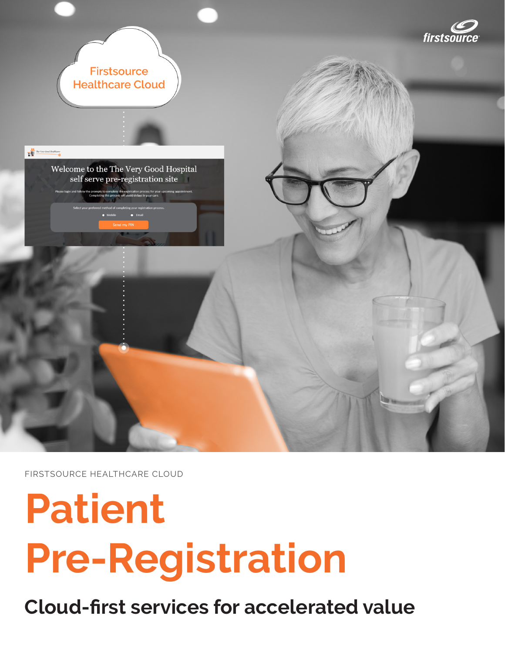

FIRSTSOURCE HEALTHCARE CLOUD

# **Patient Pre-Registration**

**Cloud-first services for accelerated value**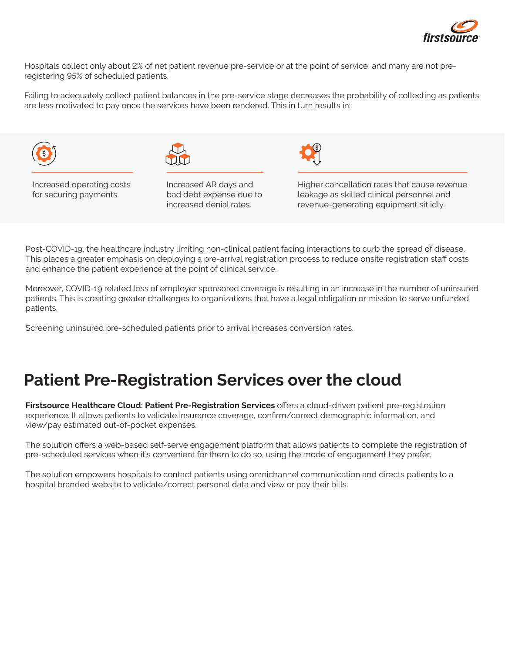

Hospitals collect only about 2% of net patient revenue pre-service or at the point of service, and many are not preregistering 95% of scheduled patients.

Failing to adequately collect patient balances in the pre-service stage decreases the probability of collecting as patients are less motivated to pay once the services have been rendered. This in turn results in:





Increased operating costs for securing payments.

Increased AR days and bad debt expense due to increased denial rates.



Higher cancellation rates that cause revenue leakage as skilled clinical personnel and revenue-generating equipment sit idly.

Post-COVID-19, the healthcare industry limiting non-clinical patient facing interactions to curb the spread of disease. This places a greater emphasis on deploying a pre-arrival registration process to reduce onsite registration staff costs and enhance the patient experience at the point of clinical service.

Moreover, COVID-19 related loss of employer sponsored coverage is resulting in an increase in the number of uninsured patients. This is creating greater challenges to organizations that have a legal obligation or mission to serve unfunded patients.

Screening uninsured pre-scheduled patients prior to arrival increases conversion rates.

#### **Patient Pre-Registration Services over the cloud**

**Firstsource Healthcare Cloud: Patient Pre-Registration Services** offers a cloud-driven patient pre-registration experience. It allows patients to validate insurance coverage, confirm/correct demographic information, and view/pay estimated out-of-pocket expenses.

The solution offers a web-based self-serve engagement platform that allows patients to complete the registration of pre-scheduled services when it's convenient for them to do so, using the mode of engagement they prefer.

The solution empowers hospitals to contact patients using omnichannel communication and directs patients to a hospital branded website to validate/correct personal data and view or pay their bills.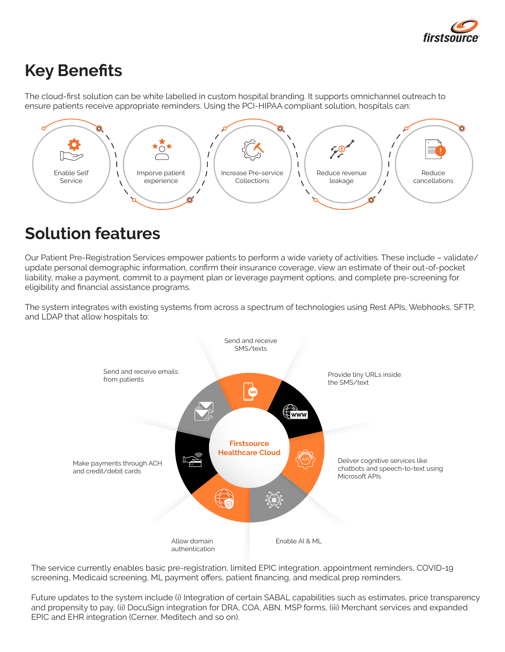

## **Key Benefits**

The cloud-first solution can be white labelled in custom hospital branding. It supports omnichannel outreach to ensure patients receive appropriate reminders. Using the PCI-HIPAA compliant solution, hospitals can:



## **Solution features**

Our Patient Pre-Registration Services empower patients to perform a wide variety of activities. These include – validate/ update personal demographic information, confirm their insurance coverage, view an estimate of their out-of-pocket liability, make a payment, commit to a payment plan or leverage payment options, and complete pre-screening for eligibility and financial assistance programs.

The system integrates with existing systems from across a spectrum of technologies using Rest APIs, Webhooks, SFTP, and LDAP that allow hospitals to:



The service currently enables basic pre-registration, limited EPIC integration, appointment reminders, COVID-19 screening, Medicaid screening, ML payment offers, patient financing, and medical prep reminders.

Future updates to the system include (i) Integration of certain SABAL capabilities such as estimates, price transparency and propensity to pay, (ii) DocuSign integration for DRA, COA, ABN, MSP forms, (iii) Merchant services and expanded EPIC and EHR integration (Cerner, Meditech and so on).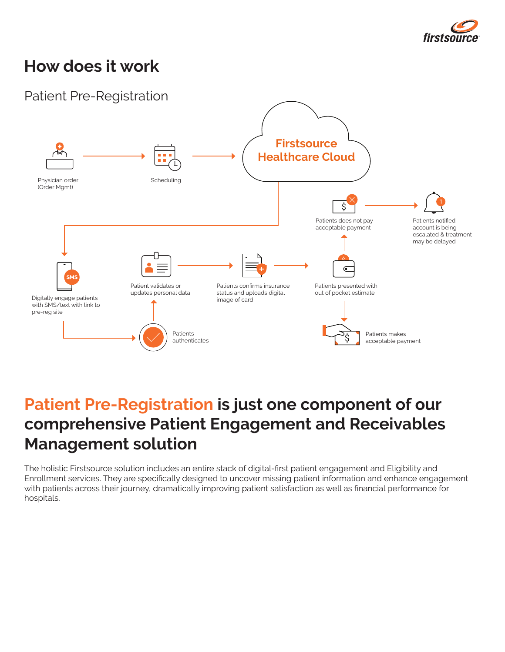

### **How does it work**



### **Patient Pre-Registration is just one component of our comprehensive Patient Engagement and Receivables Management solution**

The holistic Firstsource solution includes an entire stack of digital-first patient engagement and Eligibility and Enrollment services. They are specifically designed to uncover missing patient information and enhance engagement with patients across their journey, dramatically improving patient satisfaction as well as financial performance for hospitals.